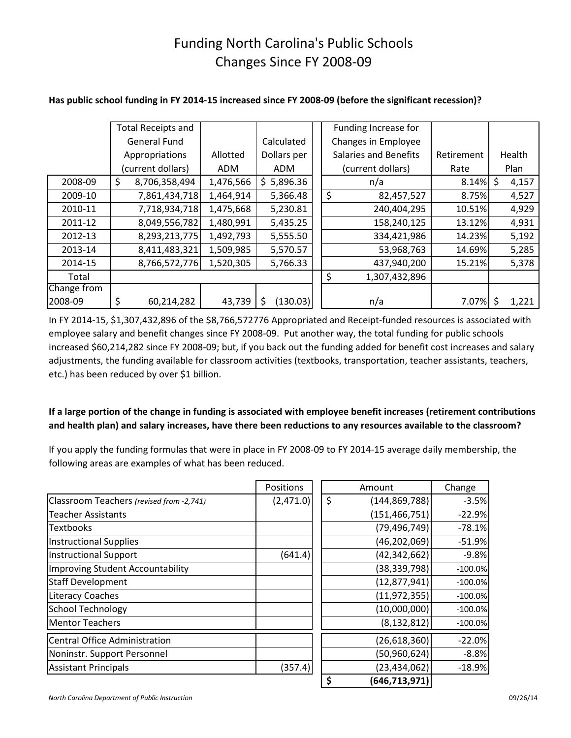# Funding North Carolina's Public Schools Changes Since FY 2008-09

|             | <b>Total Receipts and</b> |            |               | Funding Increase for         |            |        |       |  |
|-------------|---------------------------|------------|---------------|------------------------------|------------|--------|-------|--|
|             | <b>General Fund</b>       |            | Calculated    | Changes in Employee          |            |        |       |  |
|             | Appropriations            | Allotted   | Dollars per   | <b>Salaries and Benefits</b> | Retirement | Health |       |  |
|             | (current dollars)         | <b>ADM</b> | <b>ADM</b>    | (current dollars)            | Rate       |        | Plan  |  |
| 2008-09     | \$<br>8,706,358,494       | 1,476,566  | \$5,896.36    | n/a                          | 8.14%      | \$     | 4,157 |  |
| 2009-10     | 7,861,434,718             | 1,464,914  | 5,366.48      | \$<br>82,457,527             | 8.75%      |        | 4,527 |  |
| 2010-11     | 7,718,934,718             | 1,475,668  | 5,230.81      | 240,404,295                  | 10.51%     |        | 4,929 |  |
| 2011-12     | 8,049,556,782             | 1,480,991  | 5,435.25      | 158,240,125                  | 13.12%     |        | 4,931 |  |
| 2012-13     | 8,293,213,775             | 1,492,793  | 5,555.50      | 334,421,986                  | 14.23%     |        | 5,192 |  |
| 2013-14     | 8,411,483,321             | 1,509,985  | 5,570.57      | 53,968,763                   | 14.69%     |        | 5,285 |  |
| 2014-15     | 8,766,572,776             | 1,520,305  | 5,766.33      | 437,940,200                  | 15.21%     |        | 5,378 |  |
| Total       |                           |            |               | 1,307,432,896                |            |        |       |  |
| Change from |                           |            |               |                              |            |        |       |  |
| 2008-09     | \$<br>60,214,282          | 43,739     | (130.03)<br>S | n/a                          | 7.07%      | S      | 1,221 |  |

### **Has public school funding in FY 2014-15 increased since FY 2008-09 (before the significant recession)?**

In FY 2014-15, \$1,307,432,896 of the \$8,766,572776 Appropriated and Receipt-funded resources is associated with employee salary and benefit changes since FY 2008-09. Put another way, the total funding for public schools increased \$60,214,282 since FY 2008-09; but, if you back out the funding added for benefit cost increases and salary adjustments, the funding available for classroom activities (textbooks, transportation, teacher assistants, teachers, etc.) has been reduced by over \$1 billion.

### **If a large portion of the change in funding is associated with employee benefit increases (retirement contributions and health plan) and salary increases, have there been reductions to any resources available to the classroom?**

If you apply the funding formulas that were in place in FY 2008-09 to FY 2014-15 average daily membership, the following areas are examples of what has been reduced.

|                                          | Positions      |                | Amount          | Change     |
|------------------------------------------|----------------|----------------|-----------------|------------|
| Classroom Teachers (revised from -2,741) | (2,471.0)      | \$             | (144, 869, 788) | $-3.5%$    |
| <b>Teacher Assistants</b>                |                |                | (151, 466, 751) | $-22.9%$   |
| <b>Textbooks</b>                         |                |                | (79, 496, 749)  | $-78.1%$   |
| <b>Instructional Supplies</b>            | (46, 202, 069) |                | $-51.9%$        |            |
| <b>Instructional Support</b>             | (641.4)        | (42, 342, 662) |                 | $-9.8%$    |
| <b>Improving Student Accountability</b>  |                |                | (38, 339, 798)  | $-100.0%$  |
| <b>Staff Development</b>                 |                |                | (12, 877, 941)  | $-100.0\%$ |
| <b>Literacy Coaches</b>                  |                |                | (11, 972, 355)  | $-100.0%$  |
| <b>School Technology</b>                 |                |                | (10,000,000)    | $-100.0%$  |
| <b>Mentor Teachers</b>                   |                |                | (8, 132, 812)   | $-100.0%$  |
| <b>Central Office Administration</b>     |                |                | (26, 618, 360)  | $-22.0%$   |
| Noninstr. Support Personnel              |                |                | (50, 960, 624)  | $-8.8%$    |
| <b>Assistant Principals</b><br>(357.4)   |                | (23, 434, 062) |                 | $-18.9%$   |
|                                          |                | \$             | (646, 713, 971) |            |